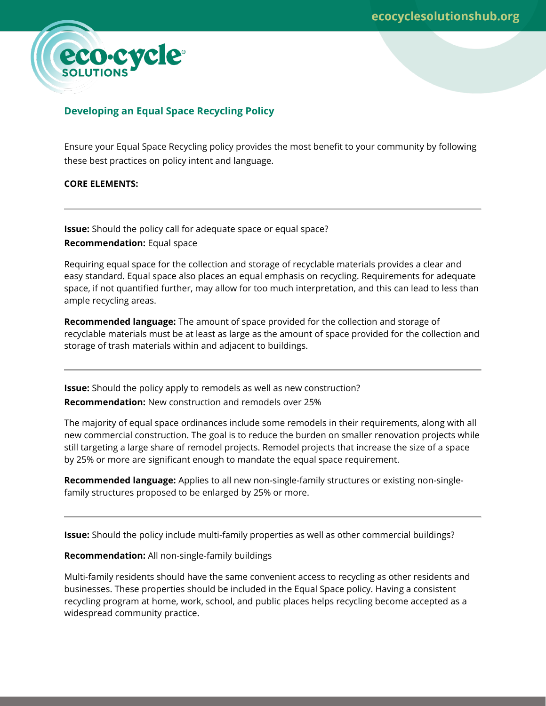

# **Developing an Equal Space Recycling Policy**

Ensure your Equal Space Recycling policy provides the most benefit to your community by following these best practices on policy intent and language.

## **CORE ELEMENTS:**

**Issue:** Should the policy call for adequate space or equal space? **Recommendation:** Equal space

Requiring equal space for the collection and storage of recyclable materials provides a clear and easy standard. Equal space also places an equal emphasis on recycling. Requirements for adequate space, if not quantified further, may allow for too much interpretation, and this can lead to less than ample recycling areas.

**Recommended language:** The amount of space provided for the collection and storage of recyclable materials must be at least as large as the amount of space provided for the collection and storage of trash materials within and adjacent to buildings.

**Issue:** Should the policy apply to remodels as well as new construction? **Recommendation:** New construction and remodels over 25%

The majority of equal space ordinances include some remodels in their requirements, along with all new commercial construction. The goal is to reduce the burden on smaller renovation projects while still targeting a large share of remodel projects. Remodel projects that increase the size of a space by 25% or more are significant enough to mandate the equal space requirement.

**Recommended language:** Applies to all new non-single-family structures or existing non-singlefamily structures proposed to be enlarged by 25% or more.

**Issue:** Should the policy include multi-family properties as well as other commercial buildings?

**Recommendation:** All non-single-family buildings

Multi-family residents should have the same convenient access to recycling as other residents and businesses. These properties should be included in the Equal Space policy. Having a consistent recycling program at home, work, school, and public places helps recycling become accepted as a widespread community practice.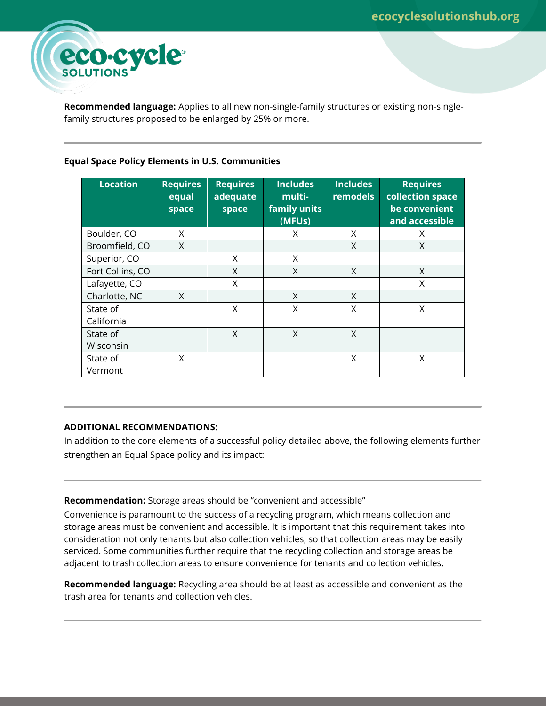

**Recommended language:** Applies to all new non-single-family structures or existing non-singlefamily structures proposed to be enlarged by 25% or more.

## **Equal Space Policy Elements in U.S. Communities**

| <b>Location</b>        | <b>Requires</b><br>equal<br>space | <b>Requires</b><br>adequate<br>space | <b>Includes</b><br>multi-<br>family units<br>(MFUs) | <b>Includes</b><br><b>remodels</b> | <b>Requires</b><br>collection space<br>be convenient<br>and accessible |
|------------------------|-----------------------------------|--------------------------------------|-----------------------------------------------------|------------------------------------|------------------------------------------------------------------------|
| Boulder, CO            | X                                 |                                      | X                                                   | X                                  | X                                                                      |
| Broomfield, CO         | X                                 |                                      |                                                     | X                                  | X                                                                      |
| Superior, CO           |                                   | X                                    | X                                                   |                                    |                                                                        |
| Fort Collins, CO       |                                   | X                                    | X                                                   | X                                  | X                                                                      |
| Lafayette, CO          |                                   | X                                    |                                                     |                                    | X                                                                      |
| Charlotte, NC          | X                                 |                                      | $\times$                                            | X                                  |                                                                        |
| State of<br>California |                                   | X                                    | X                                                   | X                                  | X                                                                      |
| State of               |                                   | $\times$                             | X                                                   | X                                  |                                                                        |
| Wisconsin              |                                   |                                      |                                                     |                                    |                                                                        |
| State of               | X                                 |                                      |                                                     | X                                  | X                                                                      |
| Vermont                |                                   |                                      |                                                     |                                    |                                                                        |

## **ADDITIONAL RECOMMENDATIONS:**

In addition to the core elements of a successful policy detailed above, the following elements further strengthen an Equal Space policy and its impact:

**Recommendation:** Storage areas should be "convenient and accessible"

Convenience is paramount to the success of a recycling program, which means collection and storage areas must be convenient and accessible. It is important that this requirement takes into consideration not only tenants but also collection vehicles, so that collection areas may be easily serviced. Some communities further require that the recycling collection and storage areas be adjacent to trash collection areas to ensure convenience for tenants and collection vehicles.

**Recommended language:** Recycling area should be at least as accessible and convenient as the trash area for tenants and collection vehicles.